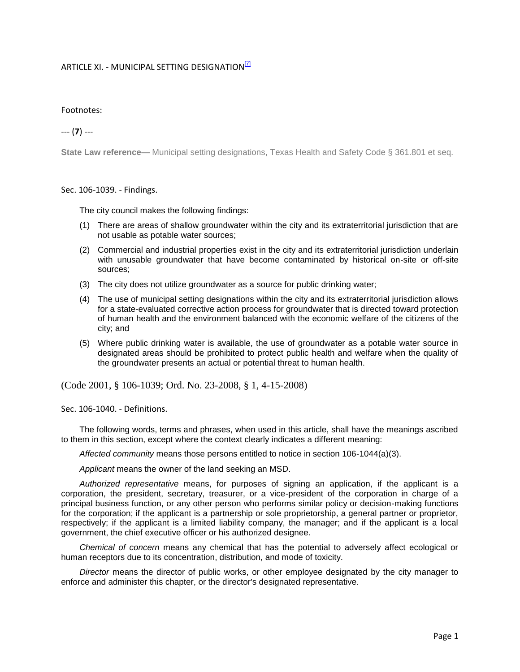## ARTICLE XI. - MUNICIPAL SETTING DESIGNATION<sup>[7]</sup>

## Footnotes:

--- (**7**) ---

**State Law reference—** Municipal setting designations, Texas Health and Safety Code § 361.801 et seq.

## Sec. 106-1039. - Findings.

The city council makes the following findings:

- (1) There are areas of shallow groundwater within the city and its extraterritorial jurisdiction that are not usable as potable water sources;
- (2) Commercial and industrial properties exist in the city and its extraterritorial jurisdiction underlain with unusable groundwater that have become contaminated by historical on-site or off-site sources;
- (3) The city does not utilize groundwater as a source for public drinking water;
- (4) The use of municipal setting designations within the city and its extraterritorial jurisdiction allows for a state-evaluated corrective action process for groundwater that is directed toward protection of human health and the environment balanced with the economic welfare of the citizens of the city; and
- (5) Where public drinking water is available, the use of groundwater as a potable water source in designated areas should be prohibited to protect public health and welfare when the quality of the groundwater presents an actual or potential threat to human health.

(Code 2001, § 106-1039; Ord. No. 23-2008, § 1, 4-15-2008)

Sec. 106-1040. - Definitions.

The following words, terms and phrases, when used in this article, shall have the meanings ascribed to them in this section, except where the context clearly indicates a different meaning:

*Affected community* means those persons entitled to notice in section 106-1044(a)(3).

*Applicant* means the owner of the land seeking an MSD.

*Authorized representative* means, for purposes of signing an application, if the applicant is a corporation, the president, secretary, treasurer, or a vice-president of the corporation in charge of a principal business function, or any other person who performs similar policy or decision-making functions for the corporation; if the applicant is a partnership or sole proprietorship, a general partner or proprietor, respectively; if the applicant is a limited liability company, the manager; and if the applicant is a local government, the chief executive officer or his authorized designee.

*Chemical of concern* means any chemical that has the potential to adversely affect ecological or human receptors due to its concentration, distribution, and mode of toxicity.

*Director* means the director of public works, or other employee designated by the city manager to enforce and administer this chapter, or the director's designated representative.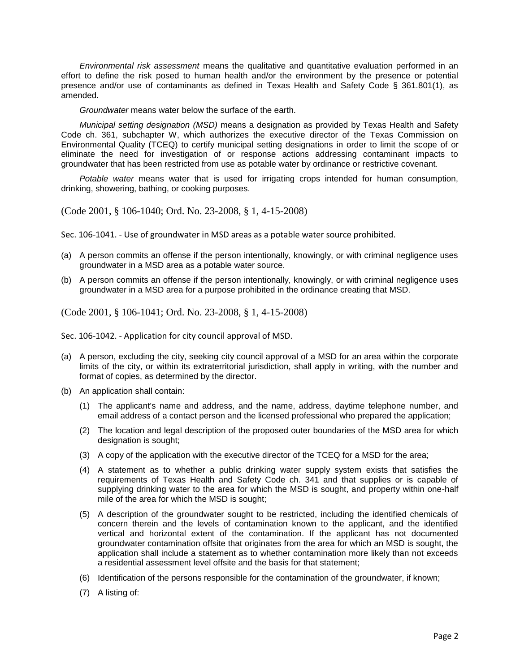*Environmental risk assessment* means the qualitative and quantitative evaluation performed in an effort to define the risk posed to human health and/or the environment by the presence or potential presence and/or use of contaminants as defined in Texas Health and Safety Code § 361.801(1), as amended.

*Groundwater* means water below the surface of the earth.

*Municipal setting designation (MSD)* means a designation as provided by Texas Health and Safety Code ch. 361, subchapter W, which authorizes the executive director of the Texas Commission on Environmental Quality (TCEQ) to certify municipal setting designations in order to limit the scope of or eliminate the need for investigation of or response actions addressing contaminant impacts to groundwater that has been restricted from use as potable water by ordinance or restrictive covenant.

*Potable water* means water that is used for irrigating crops intended for human consumption, drinking, showering, bathing, or cooking purposes.

(Code 2001, § 106-1040; Ord. No. 23-2008, § 1, 4-15-2008)

Sec. 106-1041. - Use of groundwater in MSD areas as a potable water source prohibited.

- (a) A person commits an offense if the person intentionally, knowingly, or with criminal negligence uses groundwater in a MSD area as a potable water source.
- (b) A person commits an offense if the person intentionally, knowingly, or with criminal negligence uses groundwater in a MSD area for a purpose prohibited in the ordinance creating that MSD.

(Code 2001, § 106-1041; Ord. No. 23-2008, § 1, 4-15-2008)

Sec. 106-1042. - Application for city council approval of MSD.

- (a) A person, excluding the city, seeking city council approval of a MSD for an area within the corporate limits of the city, or within its extraterritorial jurisdiction, shall apply in writing, with the number and format of copies, as determined by the director.
- (b) An application shall contain:
	- (1) The applicant's name and address, and the name, address, daytime telephone number, and email address of a contact person and the licensed professional who prepared the application;
	- (2) The location and legal description of the proposed outer boundaries of the MSD area for which designation is sought;
	- (3) A copy of the application with the executive director of the TCEQ for a MSD for the area;
	- (4) A statement as to whether a public drinking water supply system exists that satisfies the requirements of Texas Health and Safety Code ch. 341 and that supplies or is capable of supplying drinking water to the area for which the MSD is sought, and property within one-half mile of the area for which the MSD is sought;
	- (5) A description of the groundwater sought to be restricted, including the identified chemicals of concern therein and the levels of contamination known to the applicant, and the identified vertical and horizontal extent of the contamination. If the applicant has not documented groundwater contamination offsite that originates from the area for which an MSD is sought, the application shall include a statement as to whether contamination more likely than not exceeds a residential assessment level offsite and the basis for that statement;
	- (6) Identification of the persons responsible for the contamination of the groundwater, if known;
	- (7) A listing of: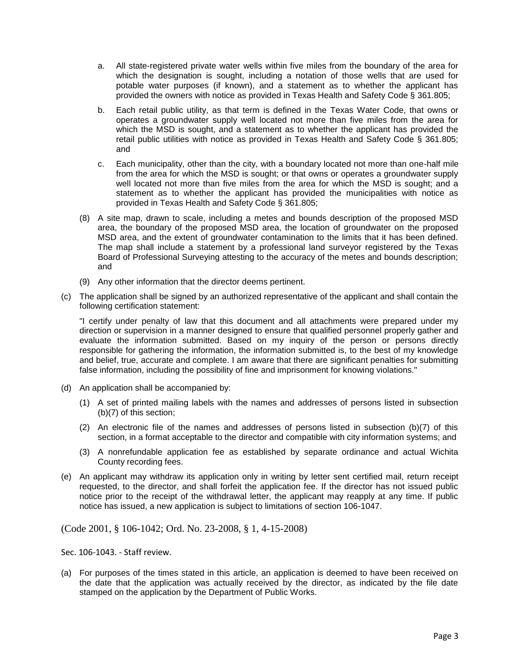- a. All state-registered private water wells within five miles from the boundary of the area for which the designation is sought, including a notation of those wells that are used for potable water purposes (if known), and a statement as to whether the applicant has provided the owners with notice as provided in Texas Health and Safety Code § 361.805;
- b. Each retail public utility, as that term is defined in the Texas Water Code, that owns or operates a groundwater supply well located not more than five miles from the area for which the MSD is sought, and a statement as to whether the applicant has provided the retail public utilities with notice as provided in Texas Health and Safety Code § 361.805; and
- c. Each municipality, other than the city, with a boundary located not more than one-half mile from the area for which the MSD is sought; or that owns or operates a groundwater supply well located not more than five miles from the area for which the MSD is sought; and a statement as to whether the applicant has provided the municipalities with notice as provided in Texas Health and Safety Code § 361.805;
- (8) A site map, drawn to scale, including a metes and bounds description of the proposed MSD area, the boundary of the proposed MSD area, the location of groundwater on the proposed MSD area, and the extent of groundwater contamination to the limits that it has been defined. The map shall include a statement by a professional land surveyor registered by the Texas Board of Professional Surveying attesting to the accuracy of the metes and bounds description; and
- (9) Any other information that the director deems pertinent.
- (c) The application shall be signed by an authorized representative of the applicant and shall contain the following certification statement:

"I certify under penalty of law that this document and all attachments were prepared under my direction or supervision in a manner designed to ensure that qualified personnel properly gather and evaluate the information submitted. Based on my inquiry of the person or persons directly responsible for gathering the information, the information submitted is, to the best of my knowledge and belief, true, accurate and complete. I am aware that there are significant penalties for submitting false information, including the possibility of fine and imprisonment for knowing violations."

- (d) An application shall be accompanied by:
	- (1) A set of printed mailing labels with the names and addresses of persons listed in subsection (b)(7) of this section;
	- (2) An electronic file of the names and addresses of persons listed in subsection (b)(7) of this section, in a format acceptable to the director and compatible with city information systems; and
	- (3) A nonrefundable application fee as established by separate ordinance and actual Wichita County recording fees.
- (e) An applicant may withdraw its application only in writing by letter sent certified mail, return receipt requested, to the director, and shall forfeit the application fee. If the director has not issued public notice prior to the receipt of the withdrawal letter, the applicant may reapply at any time. If public notice has issued, a new application is subject to limitations of section 106-1047.

(Code 2001, § 106-1042; Ord. No. 23-2008, § 1, 4-15-2008)

Sec. 106-1043. - Staff review.

(a) For purposes of the times stated in this article, an application is deemed to have been received on the date that the application was actually received by the director, as indicated by the file date stamped on the application by the Department of Public Works.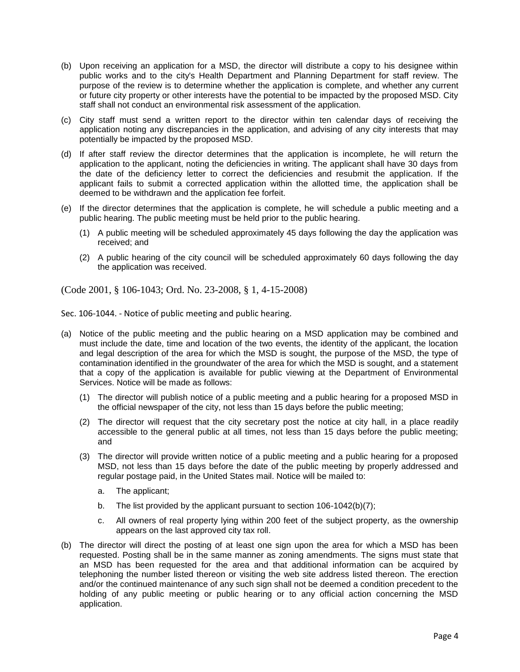- (b) Upon receiving an application for a MSD, the director will distribute a copy to his designee within public works and to the city's Health Department and Planning Department for staff review. The purpose of the review is to determine whether the application is complete, and whether any current or future city property or other interests have the potential to be impacted by the proposed MSD. City staff shall not conduct an environmental risk assessment of the application.
- (c) City staff must send a written report to the director within ten calendar days of receiving the application noting any discrepancies in the application, and advising of any city interests that may potentially be impacted by the proposed MSD.
- (d) If after staff review the director determines that the application is incomplete, he will return the application to the applicant, noting the deficiencies in writing. The applicant shall have 30 days from the date of the deficiency letter to correct the deficiencies and resubmit the application. If the applicant fails to submit a corrected application within the allotted time, the application shall be deemed to be withdrawn and the application fee forfeit.
- (e) If the director determines that the application is complete, he will schedule a public meeting and a public hearing. The public meeting must be held prior to the public hearing.
	- (1) A public meeting will be scheduled approximately 45 days following the day the application was received; and
	- (2) A public hearing of the city council will be scheduled approximately 60 days following the day the application was received.

(Code 2001, § 106-1043; Ord. No. 23-2008, § 1, 4-15-2008)

Sec. 106-1044. - Notice of public meeting and public hearing.

- (a) Notice of the public meeting and the public hearing on a MSD application may be combined and must include the date, time and location of the two events, the identity of the applicant, the location and legal description of the area for which the MSD is sought, the purpose of the MSD, the type of contamination identified in the groundwater of the area for which the MSD is sought, and a statement that a copy of the application is available for public viewing at the Department of Environmental Services. Notice will be made as follows:
	- (1) The director will publish notice of a public meeting and a public hearing for a proposed MSD in the official newspaper of the city, not less than 15 days before the public meeting;
	- (2) The director will request that the city secretary post the notice at city hall, in a place readily accessible to the general public at all times, not less than 15 days before the public meeting; and
	- (3) The director will provide written notice of a public meeting and a public hearing for a proposed MSD, not less than 15 days before the date of the public meeting by properly addressed and regular postage paid, in the United States mail. Notice will be mailed to:
		- a. The applicant;
		- b. The list provided by the applicant pursuant to section 106-1042(b)(7);
		- c. All owners of real property lying within 200 feet of the subject property, as the ownership appears on the last approved city tax roll.
- (b) The director will direct the posting of at least one sign upon the area for which a MSD has been requested. Posting shall be in the same manner as zoning amendments. The signs must state that an MSD has been requested for the area and that additional information can be acquired by telephoning the number listed thereon or visiting the web site address listed thereon. The erection and/or the continued maintenance of any such sign shall not be deemed a condition precedent to the holding of any public meeting or public hearing or to any official action concerning the MSD application.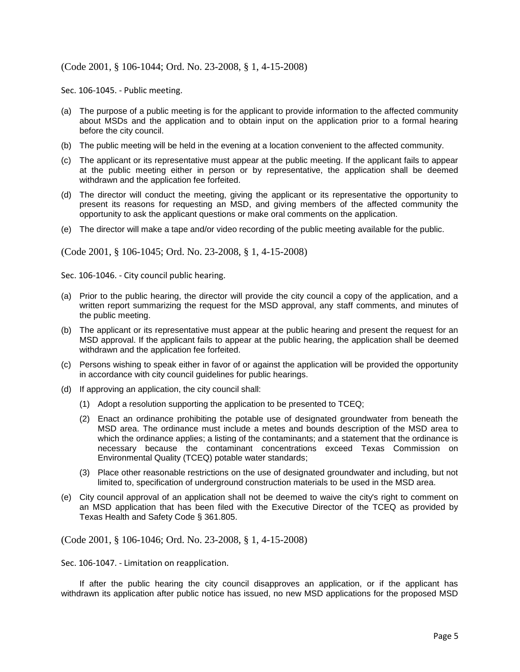## (Code 2001, § 106-1044; Ord. No. 23-2008, § 1, 4-15-2008)

Sec. 106-1045. - Public meeting.

- (a) The purpose of a public meeting is for the applicant to provide information to the affected community about MSDs and the application and to obtain input on the application prior to a formal hearing before the city council.
- (b) The public meeting will be held in the evening at a location convenient to the affected community.
- (c) The applicant or its representative must appear at the public meeting. If the applicant fails to appear at the public meeting either in person or by representative, the application shall be deemed withdrawn and the application fee forfeited.
- (d) The director will conduct the meeting, giving the applicant or its representative the opportunity to present its reasons for requesting an MSD, and giving members of the affected community the opportunity to ask the applicant questions or make oral comments on the application.
- (e) The director will make a tape and/or video recording of the public meeting available for the public.

(Code 2001, § 106-1045; Ord. No. 23-2008, § 1, 4-15-2008)

Sec. 106-1046. - City council public hearing.

- (a) Prior to the public hearing, the director will provide the city council a copy of the application, and a written report summarizing the request for the MSD approval, any staff comments, and minutes of the public meeting.
- (b) The applicant or its representative must appear at the public hearing and present the request for an MSD approval. If the applicant fails to appear at the public hearing, the application shall be deemed withdrawn and the application fee forfeited.
- (c) Persons wishing to speak either in favor of or against the application will be provided the opportunity in accordance with city council guidelines for public hearings.
- (d) If approving an application, the city council shall:
	- (1) Adopt a resolution supporting the application to be presented to TCEQ;
	- (2) Enact an ordinance prohibiting the potable use of designated groundwater from beneath the MSD area. The ordinance must include a metes and bounds description of the MSD area to which the ordinance applies; a listing of the contaminants; and a statement that the ordinance is necessary because the contaminant concentrations exceed Texas Commission on Environmental Quality (TCEQ) potable water standards;
	- (3) Place other reasonable restrictions on the use of designated groundwater and including, but not limited to, specification of underground construction materials to be used in the MSD area.
- (e) City council approval of an application shall not be deemed to waive the city's right to comment on an MSD application that has been filed with the Executive Director of the TCEQ as provided by Texas Health and Safety Code § 361.805.

(Code 2001, § 106-1046; Ord. No. 23-2008, § 1, 4-15-2008)

Sec. 106-1047. - Limitation on reapplication.

If after the public hearing the city council disapproves an application, or if the applicant has withdrawn its application after public notice has issued, no new MSD applications for the proposed MSD